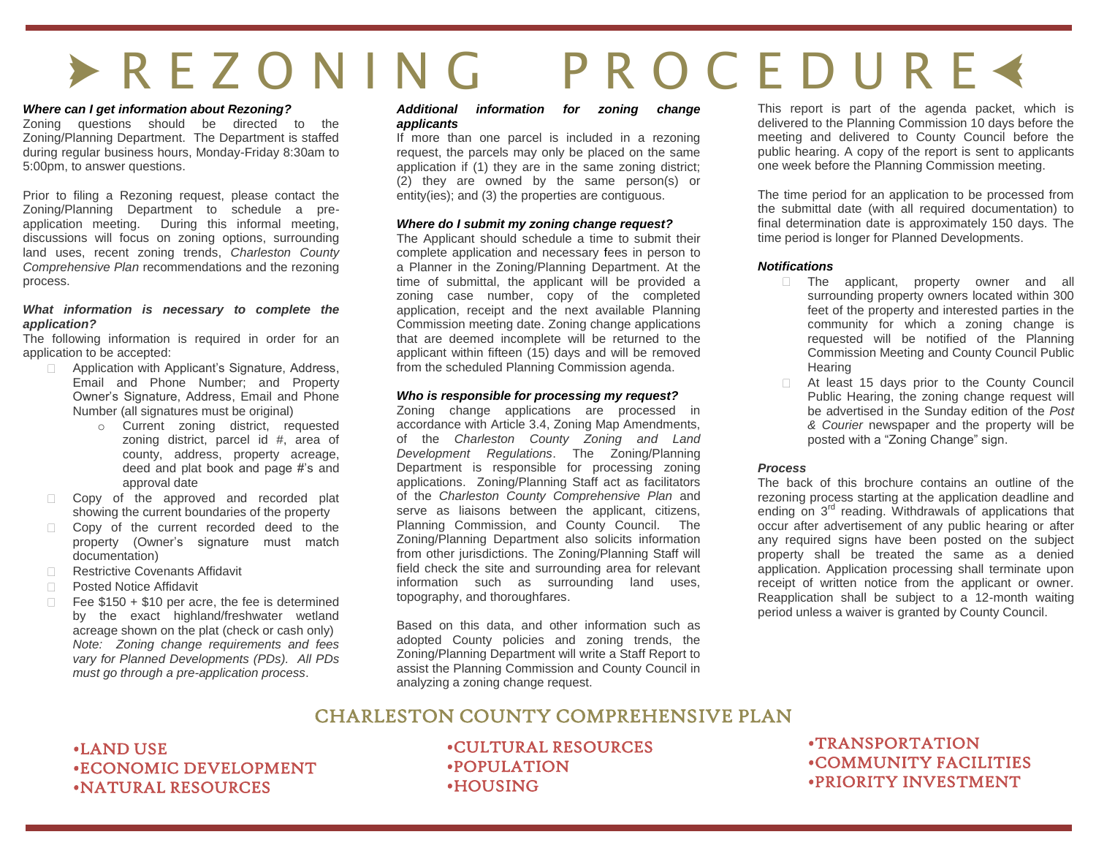# E R E Z O N I N G P R O C E D U R E Å

#### *Where can I get information about Rezoning?*

Zoning questions should be directed to the Zoning/Planning Department. The Department is staffed during regular business hours, Monday-Friday 8:30am to 5:00pm, to answer questions.

Prior to filing a Rezoning request, please contact the Zoning/Planning Department to schedule a preapplication meeting. During this informal meeting, discussions will focus on zoning options, surrounding land uses, recent zoning trends, *Charleston County Comprehensive Plan* recommendations and the rezoning process.

#### *What information is necessary to complete the application?*

The following information is required in order for an application to be accepted:

- Application with Applicant's Signature, Address,  $\Box$ Email and Phone Number; and Property Owner's Signature, Address, Email and Phone Number (all signatures must be original)
	- o Current zoning district, requested zoning district, parcel id #, area of county, address, property acreage, deed and plat book and page #'s and approval date
- Copy of the approved and recorded plat showing the current boundaries of the property
- Copy of the current recorded deed to the  $\Box$ property (Owner's signature must match documentation)
- Restrictive Covenants Affidavit  $\Box$
- $\Box$ Posted Notice Affidavit
- $\Box$ Fee \$150 + \$10 per acre, the fee is determined by the exact highland/freshwater wetland acreage shown on the plat (check or cash only) *Note: Zoning change requirements and fees vary for Planned Developments (PDs). All PDs must go through a pre-application process*.

#### *Additional information for zoning change applicants*

If more than one parcel is included in a rezoning request, the parcels may only be placed on the same application if (1) they are in the same zoning district; (2) they are owned by the same person(s) or entity(ies); and (3) the properties are contiguous.

#### *Where do I submit my zoning change request?*

The Applicant should schedule a time to submit their complete application and necessary fees in person to a Planner in the Zoning/Planning Department. At the time of submittal, the applicant will be provided a zoning case number, copy of the completed application, receipt and the next available Planning Commission meeting date. Zoning change applications that are deemed incomplete will be returned to the applicant within fifteen (15) days and will be removed from the scheduled Planning Commission agenda.

#### *Who is responsible for processing my request?*

Zoning change applications are processed in accordance with Article 3.4, Zoning Map Amendments, of the *Charleston County Zoning and Land Development Regulations*. The Zoning/Planning Department is responsible for processing zoning applications. Zoning/Planning Staff act as facilitators of the *Charleston County Comprehensive Plan* and serve as liaisons between the applicant, citizens, Planning Commission, and County Council. The Zoning/Planning Department also solicits information from other jurisdictions. The Zoning/Planning Staff will field check the site and surrounding area for relevant information such as surrounding land uses, topography, and thoroughfares.

Based on this data, and other information such as adopted County policies and zoning trends, the Zoning/Planning Department will write a Staff Report to assist the Planning Commission and County Council in analyzing a zoning change request.

This report is part of the agenda packet, which is delivered to the Planning Commission 10 days before the meeting and delivered to County Council before the public hearing. A copy of the report is sent to applicants one week before the Planning Commission meeting.

The time period for an application to be processed from the submittal date (with all required documentation) to final determination date is approximately 150 days. The time period is longer for Planned Developments.

#### *Notifications*

- The applicant, property owner and all surrounding property owners located within 300 feet of the property and interested parties in the community for which a zoning change is requested will be notified of the Planning Commission Meeting and County Council Public **Hearing**
- At least 15 days prior to the County Council Public Hearing, the zoning change request will be advertised in the Sunday edition of the *Post & Courier* newspaper and the property will be posted with a "Zoning Change" sign.

#### *Process*

The back of this brochure contains an outline of the rezoning process starting at the application deadline and ending on 3<sup>rd</sup> reading. Withdrawals of applications that occur after advertisement of any public hearing or after any required signs have been posted on the subject property shall be treated the same as a denied application. Application processing shall terminate upon receipt of written notice from the applicant or owner. Reapplication shall be subject to a 12-month waiting period unless a waiver is granted by County Council.

## CHARLESTON COUNTY COMPREHENSIVE PLAN

### •LAND USE •ECONOMIC DEVELOPMENT •NATURAL RESOURCES

•CULTURAL RESOURCES •POPULATION •HOUSING

•TRANSPORTATION •COMMUNITY FACILITIES •PRIORITY INVESTMENT